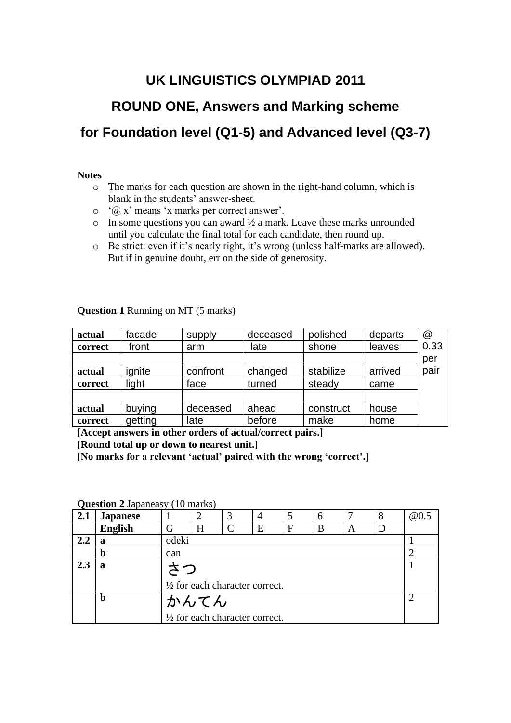## **UK LINGUISTICS OLYMPIAD 2011**

# **ROUND ONE, Answers and Marking scheme for Foundation level (Q1-5) and Advanced level (Q3-7)**

#### **Notes**

- o The marks for each question are shown in the right-hand column, which is blank in the students' answer-sheet.
- $\circ$  ' $\hat{\omega}$  x' means 'x marks per correct answer'.
- $\circ$  In some questions you can award  $\frac{1}{2}$  a mark. Leave these marks unrounded until you calculate the final total for each candidate, then round up.
- o Be strict: even if it's nearly right, it's wrong (unless half-marks are allowed). But if in genuine doubt, err on the side of generosity.

| actual  | facade  | supply   | deceased | polished  | departs | @    |
|---------|---------|----------|----------|-----------|---------|------|
| correct | front   | arm      | late     | shone     | leaves  | 0.33 |
|         |         |          |          |           |         | per  |
| actual  | ignite  | confront | changed  | stabilize | arrived | pair |
| correct | light   | face     | turned   | steady    | came    |      |
|         |         |          |          |           |         |      |
| actual  | buying  | deceased | ahead    | construct | house   |      |
| correct | getting | late     | before   | make      | home    |      |

**Question 1** Running on MT (5 marks)

**[Accept answers in other orders of actual/correct pairs.]**

**[Round total up or down to nearest unit.]**

**[No marks for a relevant 'actual' paired with the wrong 'correct'.]**

**Question 2 Japaneasy (10 marks)** 

| 2.1 | <b>Japanese</b> |       |                                           |               | $\overline{4}$ | 5            | 6 | − | 8 | @0.5 |
|-----|-----------------|-------|-------------------------------------------|---------------|----------------|--------------|---|---|---|------|
|     | <b>English</b>  | G     | H                                         | $\mathcal{C}$ | E              | $\mathbf{F}$ | B | A | D |      |
| 2,2 | a               | odeki |                                           |               |                |              |   |   |   |      |
|     | $\bf{b}$        | dan   |                                           |               |                |              |   |   |   |      |
| 2.3 | a               |       |                                           |               |                |              |   |   |   |      |
|     |                 |       | $\frac{1}{2}$ for each character correct. |               |                |              |   |   |   |      |
|     | $\bf{b}$        |       | かんてん                                      |               |                |              |   |   |   |      |
|     |                 |       | $\frac{1}{2}$ for each character correct. |               |                |              |   |   |   |      |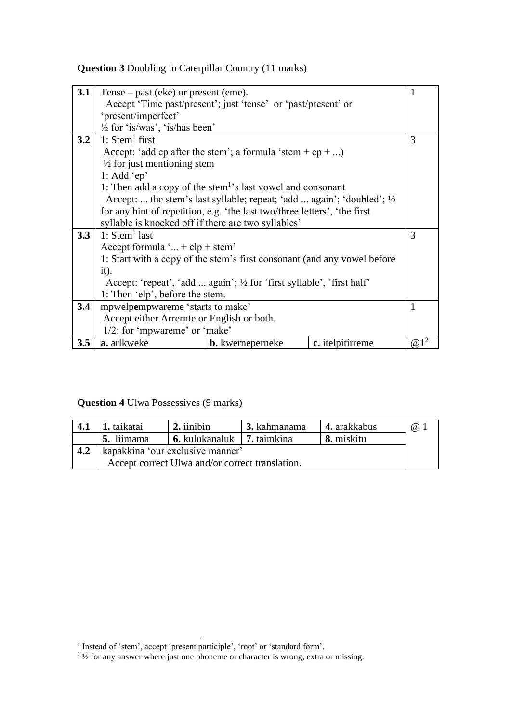### **Question 3** Doubling in Caterpillar Country (11 marks)

| 3.1 | Tense – past (eke) or present (eme).                                      |                                                                         |                  | 1                       |  |  |
|-----|---------------------------------------------------------------------------|-------------------------------------------------------------------------|------------------|-------------------------|--|--|
|     |                                                                           | Accept 'Time past/present'; just 'tense' or 'past/present' or           |                  |                         |  |  |
|     | 'present/imperfect'                                                       |                                                                         |                  |                         |  |  |
|     | $\frac{1}{2}$ for 'is/was', 'is/has been'                                 |                                                                         |                  |                         |  |  |
| 3.2 | 1: $Stem1 first$                                                          |                                                                         |                  | 3                       |  |  |
|     |                                                                           | Accept: 'add ep after the stem'; a formula 'stem + ep + )               |                  |                         |  |  |
|     | $\frac{1}{2}$ for just mentioning stem                                    |                                                                         |                  |                         |  |  |
|     | 1: Add 'ep'                                                               |                                                                         |                  |                         |  |  |
|     | 1: Then add a copy of the stem <sup>1</sup> 's last vowel and consonant   |                                                                         |                  |                         |  |  |
|     |                                                                           | Accept:  the stem's last syllable; repeat; 'add  again'; 'doubled'; 1/2 |                  |                         |  |  |
|     | for any hint of repetition, e.g. 'the last two/three letters', 'the first |                                                                         |                  |                         |  |  |
|     | syllable is knocked off if there are two syllables'                       |                                                                         |                  |                         |  |  |
| 3.3 | 1: $Stem1$ last                                                           |                                                                         |                  | 3                       |  |  |
|     | Accept formula ' + $elp$ + stem'                                          |                                                                         |                  |                         |  |  |
|     | 1: Start with a copy of the stem's first consonant (and any vowel before  |                                                                         |                  |                         |  |  |
|     | it).                                                                      |                                                                         |                  |                         |  |  |
|     | Accept: 'repeat', 'add  again'; 1/2 for 'first syllable', 'first half'    |                                                                         |                  |                         |  |  |
|     | 1: Then 'elp', before the stem.                                           |                                                                         |                  |                         |  |  |
| 3.4 | mpwelpempwareme 'starts to make'                                          |                                                                         |                  |                         |  |  |
|     | Accept either Arrernte or English or both.                                |                                                                         |                  |                         |  |  |
|     | 1/2: for 'mpwareme' or 'make'                                             |                                                                         |                  |                         |  |  |
| 3.5 | a. arlkweke                                                               | <b>b.</b> kwerneperneke                                                 | c. itelpitirreme | $\omega$ 1 <sup>2</sup> |  |  |

#### **Question 4** Ulwa Possessives (9 marks)

| 4.1 | 1. taikatai                      | 2. iinibin                                      | <b>3.</b> kahmanama | 4. arakkabus | $\omega$ |  |  |
|-----|----------------------------------|-------------------------------------------------|---------------------|--------------|----------|--|--|
|     | 5. liimama                       | $\vert$ 6. kulukanaluk $\vert$ 7. taimkina      |                     | 8. miskitu   |          |  |  |
| 4.2 | kapakkina 'our exclusive manner' |                                                 |                     |              |          |  |  |
|     |                                  | Accept correct Ulwa and/or correct translation. |                     |              |          |  |  |

<sup>&</sup>lt;sup>1</sup> Instead of 'stem', accept 'present participle', 'root' or 'standard form'.

 $2\frac{1}{2}$  for any answer where just one phoneme or character is wrong, extra or missing.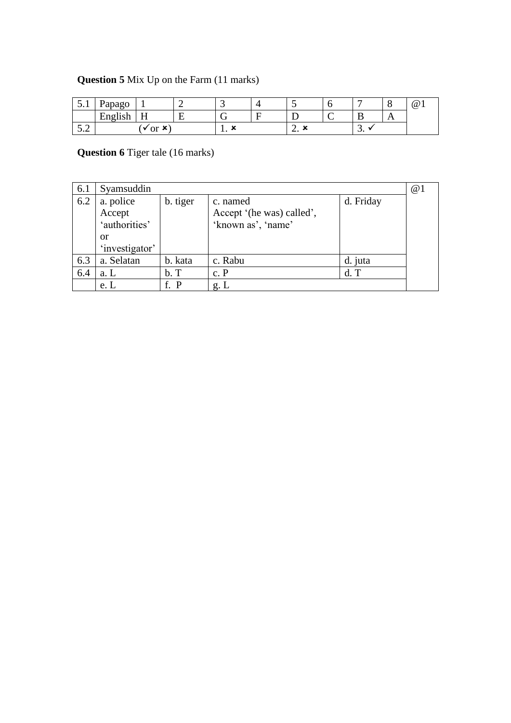### **Question 5** Mix Up on the Farm (11 marks)

| $\boldsymbol{\mathsf{u}}\cdot\mathbf{r}$ | 'apago                             | -                        | ັ        |      | ◡ | -        | ╰   | $^{\copyright}$ |
|------------------------------------------|------------------------------------|--------------------------|----------|------|---|----------|-----|-----------------|
|                                          | $\cdots$<br>┳<br>Hn010h<br>EIIghsh | –<br>**                  | ⌒<br>. . |      |   | <b>.</b> | . . |                 |
| $\sim$ $\sim$<br>$\cup$ . $\sim$         |                                    | or $\mathbf{\mathsf{x}}$ | . .      | ∼. ∼ |   | <u>.</u> |     |                 |

## **Question 6** Tiger tale (16 marks)

| 6.1 | Syamsuddin          |          |                                       |           |  |  |  |
|-----|---------------------|----------|---------------------------------------|-----------|--|--|--|
| 6.2 | a. police<br>Accept | b. tiger | c. named<br>Accept '(he was) called', | d. Friday |  |  |  |
|     | 'authorities'       |          | 'known as', 'name'                    |           |  |  |  |
|     | <b>or</b>           |          |                                       |           |  |  |  |
|     | 'investigator'      |          |                                       |           |  |  |  |
| 6.3 | a. Selatan          | b. kata  | c. Rabu                               | d. juta   |  |  |  |
| 6.4 | a. L                | b. T     | c. P                                  | $d$ . T   |  |  |  |
|     | e. L                | f. P     | g L                                   |           |  |  |  |